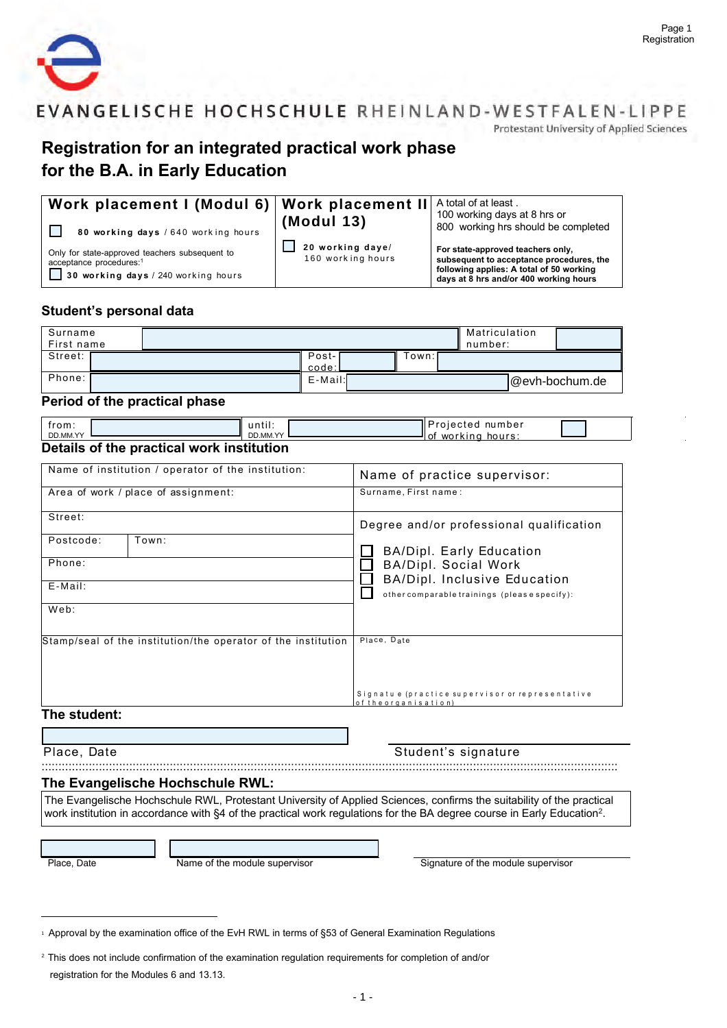

Protestant University of Applied Sciences

# Registration for an integrated practical work phase for the B.A. in Early Education

| Work placement I (Modul 6)   Work placement II   A total of at least.                                                        |                                       | 100 working days at 8 hrs or                                                                                                                                        |
|------------------------------------------------------------------------------------------------------------------------------|---------------------------------------|---------------------------------------------------------------------------------------------------------------------------------------------------------------------|
| 80 working days / 640 working hours                                                                                          | (Modul 13)                            | 800 working hrs should be completed                                                                                                                                 |
| Only for state-approved teachers subsequent to<br>acceptance procedures: <sup>1</sup><br>30 working days / 240 working hours | 20 working daye/<br>160 working hours | For state-approved teachers only,<br>subsequent to acceptance procedures, the<br>following applies: A total of 50 working<br>days at 8 hrs and/or 400 working hours |

### Student's personal data

| Surname<br>First name |                |        | Matriculation<br>number: |                |
|-----------------------|----------------|--------|--------------------------|----------------|
| Street:               | Post-<br>code: | [own:I |                          |                |
| Phone:                | $E$ -Mail:     |        |                          | @evh-bochum.de |

#### Period of the practical phase

| from:<br>DD.MM.YY |                                           | until:<br>DD.MM.YY | <b>I</b> Projected<br>number<br>ll of<br>workina<br>hours: |  |
|-------------------|-------------------------------------------|--------------------|------------------------------------------------------------|--|
|                   | Details of the practical work institution |                    |                                                            |  |

### acticai work institution

| Name of institution / operator of the institution:            | Name of practice supervisor:                                             |
|---------------------------------------------------------------|--------------------------------------------------------------------------|
| Area of work / place of assignment:                           | Surname, First name:                                                     |
| Street:                                                       | Degree and/or professional qualification                                 |
| Postcode:<br>Town:                                            | <b>BA/Dipl. Early Education</b>                                          |
| Phone:                                                        | <b>BA/Dipl. Social Work</b><br><b>BA/Dipl. Inclusive Education</b>       |
| $E$ -Mail:                                                    | other comparable trainings (please specify):                             |
| Web:                                                          |                                                                          |
| Stamp/seal of the institution/the operator of the institution | Place, Date                                                              |
|                                                               |                                                                          |
| The efficiency                                                | Signatu e (practice supervisor or representative<br>of the organisation) |

#### The student:

#### Place, Date

Student's signature

## 

#### The Evangelische Hochschule RWL:

The Evangelische Hochschule RWL, Protestant University of Applied Sciences, confirms the suitability of the practical work institution in accordance with §4 of the practical work regulations for the BA degree course in Early Education<sup>2</sup>.

Place, Date

Name of the module supervisor

Signature of the module supervisor

<span id="page-0-0"></span><sup>&</sup>lt;sup>1</sup> Approval by the examination office of the EvH RWL in terms of §53 of General Examination Regulations

<sup>&</sup>lt;sup>2</sup> This does not include confirmation of the examination regulation requirements for completion of and/or registration for the Modules 6 and 13.13.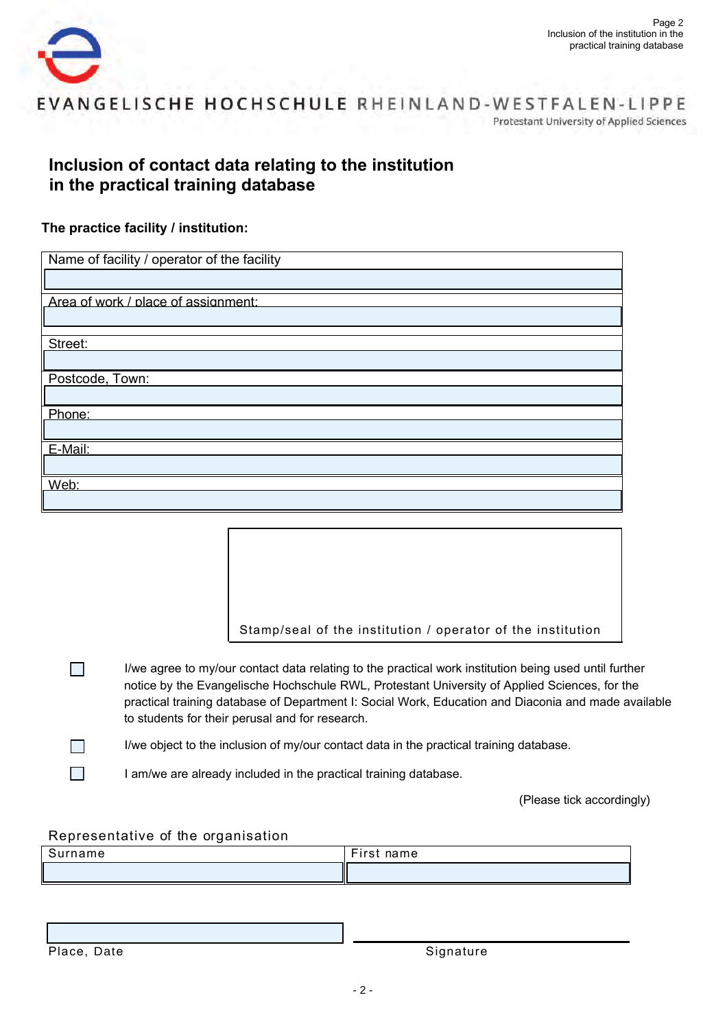

EVANGELISCHE HOCHSCHULE RHEINLAND-WESTFALEN-LIPPE **Protestant University of Applied Sciences** 

# **Inclusion of contact data relating to the institution in the practical training database**

### **The practice facility / institution:**

| Name of facility / operator of the facility |
|---------------------------------------------|
|                                             |
| Area of work / place of assignment:         |
|                                             |
| Street:                                     |
|                                             |
| Postcode, Town:                             |
|                                             |
| Phone:                                      |
|                                             |
| E-Mail:                                     |
|                                             |
| Web:                                        |
|                                             |

Stamp/seal of the institution / operator of the institution

- $\mathcal{L}_{\mathcal{A}}$ I/we agree to my/our contact data relating to the practical work institution being used until further notice by the Evangelische Hochschule RWL, Protestant University of Applied Sciences, for the practical training database of Department I: Social Work, Education and Diaconia and made available to students for their perusal and for research.
- $\Box$

I/we object to the inclusion of my/our contact data in the practical training database.

I am/we are already included in the practical training database.

(Please tick accordingly)

### Representative of the organisation

| Surname | First<br>name |
|---------|---------------|
|         |               |

Signature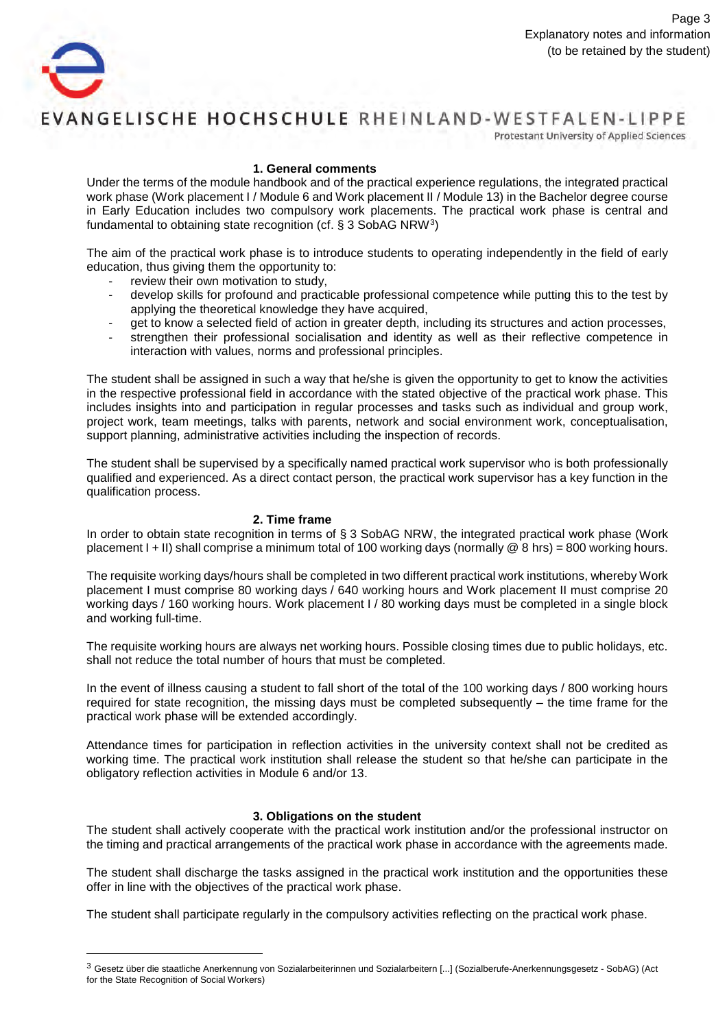

Protestant University of Applied Sciences

#### **1. General comments**

Under the terms of the module handbook and of the practical experience regulations, the integrated practical work phase (Work placement I / Module 6 and Work placement II / Module 13) in the Bachelor degree course in Early Education includes two compulsory work placements. The practical work phase is central and fundamental to obtaining state recognition (cf. § 3 SobAG NRW[3\)](#page-2-0)

The aim of the practical work phase is to introduce students to operating independently in the field of early education, thus giving them the opportunity to:

- review their own motivation to study,
- develop skills for profound and practicable professional competence while putting this to the test by applying the theoretical knowledge they have acquired,
- get to know a selected field of action in greater depth, including its structures and action processes,
- strengthen their professional socialisation and identity as well as their reflective competence in interaction with values, norms and professional principles.

The student shall be assigned in such a way that he/she is given the opportunity to get to know the activities in the respective professional field in accordance with the stated objective of the practical work phase. This includes insights into and participation in regular processes and tasks such as individual and group work, project work, team meetings, talks with parents, network and social environment work, conceptualisation, support planning, administrative activities including the inspection of records.

The student shall be supervised by a specifically named practical work supervisor who is both professionally qualified and experienced. As a direct contact person, the practical work supervisor has a key function in the qualification process.

#### **2. Time frame**

In order to obtain state recognition in terms of § 3 SobAG NRW, the integrated practical work phase (Work placement I + II) shall comprise a minimum total of 100 working days (normally  $@8$  hrs) = 800 working hours.

The requisite working days/hours shall be completed in two different practical work institutions, whereby Work placement I must comprise 80 working days / 640 working hours and Work placement II must comprise 20 working days / 160 working hours. Work placement I / 80 working days must be completed in a single block and working full-time.

The requisite working hours are always net working hours. Possible closing times due to public holidays, etc. shall not reduce the total number of hours that must be completed.

In the event of illness causing a student to fall short of the total of the 100 working days / 800 working hours required for state recognition, the missing days must be completed subsequently – the time frame for the practical work phase will be extended accordingly.

Attendance times for participation in reflection activities in the university context shall not be credited as working time. The practical work institution shall release the student so that he/she can participate in the obligatory reflection activities in Module 6 and/or 13.

#### **3. Obligations on the student**

The student shall actively cooperate with the practical work institution and/or the professional instructor on the timing and practical arrangements of the practical work phase in accordance with the agreements made.

The student shall discharge the tasks assigned in the practical work institution and the opportunities these offer in line with the objectives of the practical work phase.

<span id="page-2-0"></span>The student shall participate regularly in the compulsory activities reflecting on the practical work phase.

<sup>3</sup> Gesetz über die staatliche Anerkennung von Sozialarbeiterinnen und Sozialarbeitern [...] (Sozialberufe-Anerkennungsgesetz - SobAG) (Act for the State Recognition of Social Workers)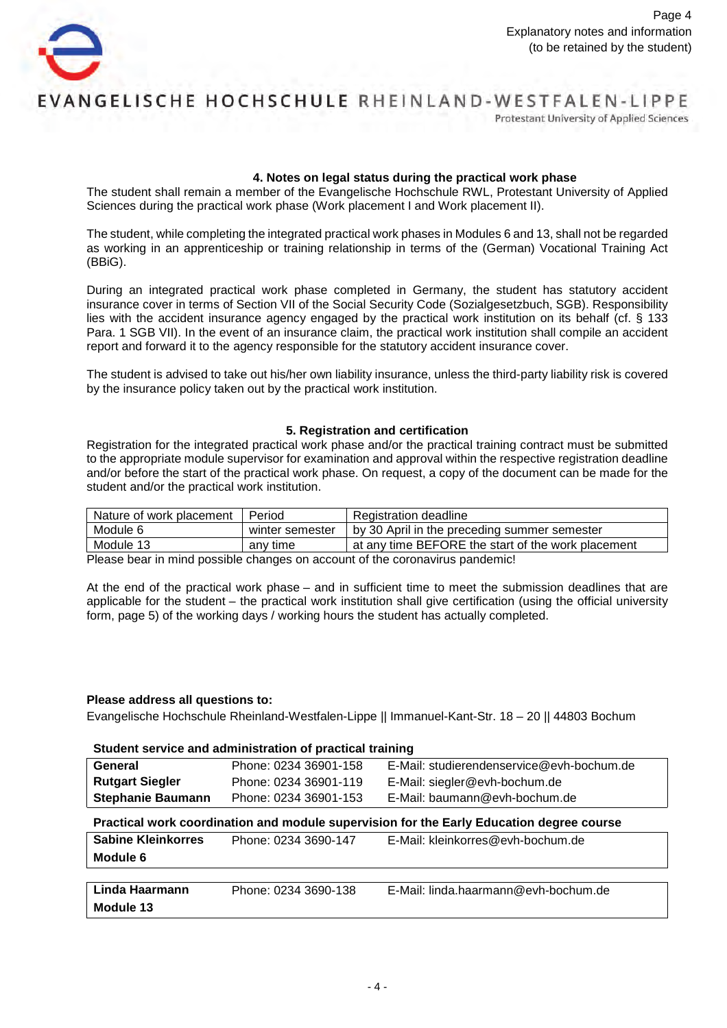

Protestant University of Applied Sciences

#### **4. Notes on legal status during the practical work phase**

The student shall remain a member of the Evangelische Hochschule RWL, Protestant University of Applied Sciences during the practical work phase (Work placement I and Work placement II).

The student, while completing the integrated practical work phases in Modules 6 and 13, shall not be regarded as working in an apprenticeship or training relationship in terms of the (German) Vocational Training Act (BBiG).

During an integrated practical work phase completed in Germany, the student has statutory accident insurance cover in terms of Section VII of the Social Security Code (Sozialgesetzbuch, SGB). Responsibility lies with the accident insurance agency engaged by the practical work institution on its behalf (cf. § 133 Para. 1 SGB VII). In the event of an insurance claim, the practical work institution shall compile an accident report and forward it to the agency responsible for the statutory accident insurance cover.

The student is advised to take out his/her own liability insurance, unless the third-party liability risk is covered by the insurance policy taken out by the practical work institution.

#### **5. Registration and certification**

Registration for the integrated practical work phase and/or the practical training contract must be submitted to the appropriate module supervisor for examination and approval within the respective registration deadline and/or before the start of the practical work phase. On request, a copy of the document can be made for the student and/or the practical work institution.

| Nature of work placement | Period          | Registration deadline                              |
|--------------------------|-----------------|----------------------------------------------------|
| Module 6                 | winter semester | by 30 April in the preceding summer semester       |
| Module 13                | any time        | at any time BEFORE the start of the work placement |

Please bear in mind possible changes on account of the coronavirus pandemic!

At the end of the practical work phase – and in sufficient time to meet the submission deadlines that are applicable for the student – the practical work institution shall give certification (using the official university form, page 5) of the working days / working hours the student has actually completed.

#### **Please address all questions to:**

Evangelische Hochschule Rheinland-Westfalen-Lippe || Immanuel-Kant-Str. 18 – 20 || 44803 Bochum

#### **Student service and administration of practical training**

| General                  | Phone: 0234 36901-158 | E-Mail: studierendenservice@evh-bochum.de |
|--------------------------|-----------------------|-------------------------------------------|
| <b>Rutgart Siegler</b>   | Phone: 0234 36901-119 | E-Mail: siegler@evh-bochum.de             |
| <b>Stephanie Baumann</b> | Phone: 0234 36901-153 | E-Mail: baumann@evh-bochum.de             |
|                          |                       |                                           |

#### **Practical work coordination and module supervision for the Early Education degree course**

| <b>Sabine Kleinkorres</b><br>Module 6 | Phone: 0234 3690-147 | E-Mail: kleinkorres@evh-bochum.de    |
|---------------------------------------|----------------------|--------------------------------------|
| Linda Haarmann<br>Module 13           | Phone: 0234 3690-138 | E-Mail: linda.haarmann@evh-bochum.de |